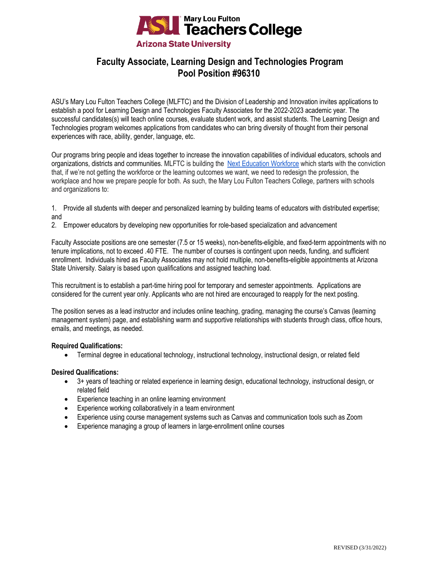

# **Faculty Associate, Learning Design and Technologies Program Pool Position #96310**

ASU's Mary Lou Fulton Teachers College (MLFTC) and the Division of Leadership and Innovation invites applications to establish a pool for Learning Design and Technologies Faculty Associates for the 2022-2023 academic year. The successful candidates(s) will teach online courses, evaluate student work, and assist students. The Learning Design and Technologies program welcomes applications from candidates who can bring diversity of thought from their personal experiences with race, ability, gender, language, etc.

Our programs bring people and ideas together to increase the innovation capabilities of individual educators, schools and organizations, districts and communities. MLFTC is building the [Next Education Workforce](https://workforce.education.asu.edu/?utm_source=mlftc&utm_medium=redirect&utm_campaign=top_nav) which starts with the conviction that, if we're not getting the workforce or the learning outcomes we want, we need to redesign the profession, the workplace and how we prepare people for both. As such, the Mary Lou Fulton Teachers College, partners with schools and organizations to:

- 1. Provide all students with deeper and personalized learning by building teams of educators with distributed expertise; and
- 2. Empower educators by developing new opportunities for role-based specialization and advancement

Faculty Associate positions are one semester (7.5 or 15 weeks), non-benefits-eligible, and fixed-term appointments with no tenure implications, not to exceed .40 FTE. The number of courses is contingent upon needs, funding, and sufficient enrollment. Individuals hired as Faculty Associates may not hold multiple, non-benefits-eligible appointments at Arizona State University. Salary is based upon qualifications and assigned teaching load.

This recruitment is to establish a part-time hiring pool for temporary and semester appointments. Applications are considered for the current year only. Applicants who are not hired are encouraged to reapply for the next posting.

The position serves as a lead instructor and includes online teaching, grading, managing the course's Canvas (learning management system) page, and establishing warm and supportive relationships with students through class, office hours, emails, and meetings, as needed.

## **Required Qualifications:**

• Terminal degree in educational technology, instructional technology, instructional design, or related field

## **Desired Qualifications:**

- 3+ years of teaching or related experience in learning design, educational technology, instructional design, or related field
- Experience teaching in an online learning environment
- Experience working collaboratively in a team environment
- Experience using course management systems such as Canvas and communication tools such as Zoom
- Experience managing a group of learners in large-enrollment online courses